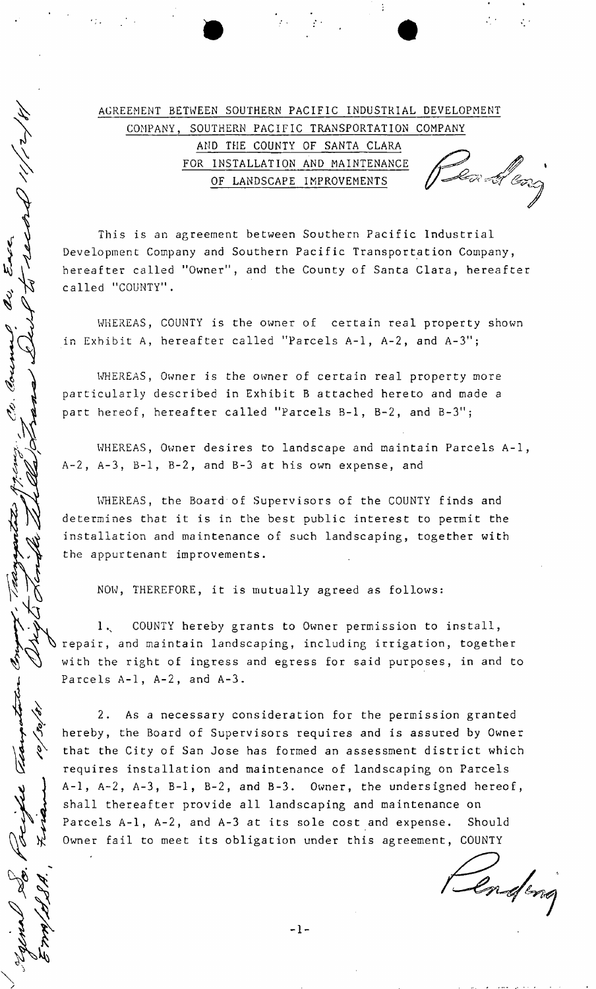# AGREEMENT BETWEEN SOUTHERN PACIFIC INDUSTRIAL DEVELOPMENT COMPANY, SOUTHERN PACIFIC TRANSPORTATION COMPANY AND THE COUNTY OF SANTA CLARA Devi et cong FOR INSTALLATION AND MAINTENANCE OF LANDSCAPE IMPROVEMENTS

This is an agreement between Southern Pacific Industrial Development Company and Southern Pacific Transportation Company, hereafter called "Owner", and the County of Santa Clara, hereafter called "COUNTY".

WHEREAS, COUNTY is the owner of certain real property shown in Exhibit A, hereafter called "Parcels A-l, A-2, and A-3";

WHEREAS, Owner is the owner of certain real property more particularly described in Exhibit B attached hereto and made a part hereof, hereafter called "Parcels B-l, B-2, and B-3";

WHEREAS, Owner desires to landscape and maintain Parcels A-l, A-2, A-3, B-l, B-2, and B-3 at his own expense, and

WHEREAS, the Board of Supervisors of the COUNTY finds and determines that it is in the best public interest to permit the installation and maintenance of such landscaping, together with the appurtenant improvements.

NOW, THEREFORE, it is mutually agreed as follows:

1, COUNTY hereby grants to Owner permission to install, repair, and maintain landscaping, including irrigation, together with the right of ingress and egress for said purposes, in and to Parcels A-l, A-2, and A-3.

2. As a necessary consideration for the permission granted hereby, the Board of Supervisors requires and is assured by Owner that the City of San Jose has formed an assessment district which requires installation and maintenance of landscaping on Parcels A-l, A-2, A-3, B-l, B-2, and B-3. Owner, the undersigned hereof, shall thereafter provide all landscaping and maintenance on Parcels A-l, A-2, and A-3 at its sole cost and expense. Should Owner fail to meet its obligation under this agreement, COUNTY

Triple The

Renderig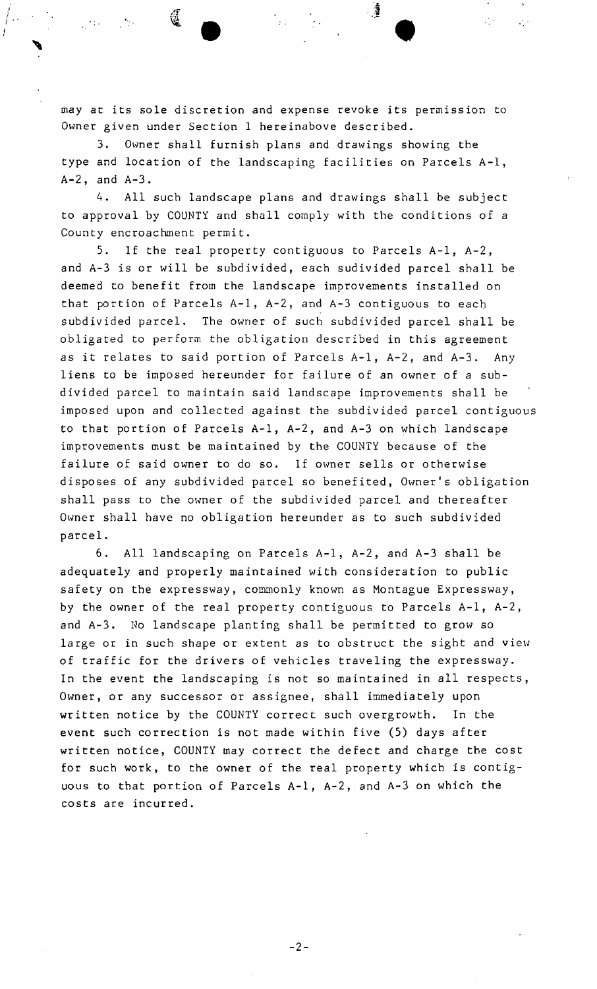may at its sole discretion and expense revoke its permission to Owner given under Sect ion 1 hereinabove described.

୍ତୁ

 $\sim$ 

 $\mathcal{L}^{(1)}_{\mathcal{A}}$ 

3. Owner shall furnish plans and drawings showing the type and location of the landscaping facilities on Parcels A-l , A-2, and A-3.

4. All such landscape plans and drawings shall be subject to approval by COUNTY and shall comply with the conditions of a County encroachment permit.

5. If the real property contiguous to Parcels A-l, A-2, and A-3 is or will be subdivided, each sudivided parcel shall be deemed to benefit from the landscape improvements installed on that portion of Parcels A-l, A-2, and A-3 contiguous to each subdivided parcel. The owner of such subdivided parcel shall be obligated to perform the obligation described in this agreement as it relates to said portion of Parcels A-l, A-2, and A-3. Any liens to be imposed hereunder for failure of an owner of a subdivided parcel to maintain said landscape improvements shall be imposed upon and collected against the subdivided parcel contiguous to that portion of Parcels A-l, A-2, and A-3 on which landscape improvements must be maintained by the COUNTY because of the failure of said owner to do so. If owner sells or otherwise disposes of any subdivided parcel so benefited, Owner's obligation shall pass to the owner of the subdivided parcel and thereafter Owner shall have no obligation hereunder as to such subdivided parcel.

6. All landscaping on Parcels A-l, A-2, and A-3 shall be adequately and properly maintained with consideration to public safety on the expressway, commonly known as Montague Expressway, by the owner of the real property contiguous to Parcels A-l, A-2, and A-3. No landscape planting shall be permitted to grow so large or in such shape or extent as to obstruct the sight and view of traffic for the drivers of vehicles traveling the expressway. In the event the landscaping is not so maintained in all respects, Owner, or any successor or assignee, shall immediately upon written notice by the COUNTY correct such overgrowth. In the event such correction is not made within five (5) days after written notice, COUNTY may correct the defect and charge the cost for such work, to the owner of the real property which is contiguous to that portion of Parcels A-l, A-2, and A-3 on which the costs are incurred.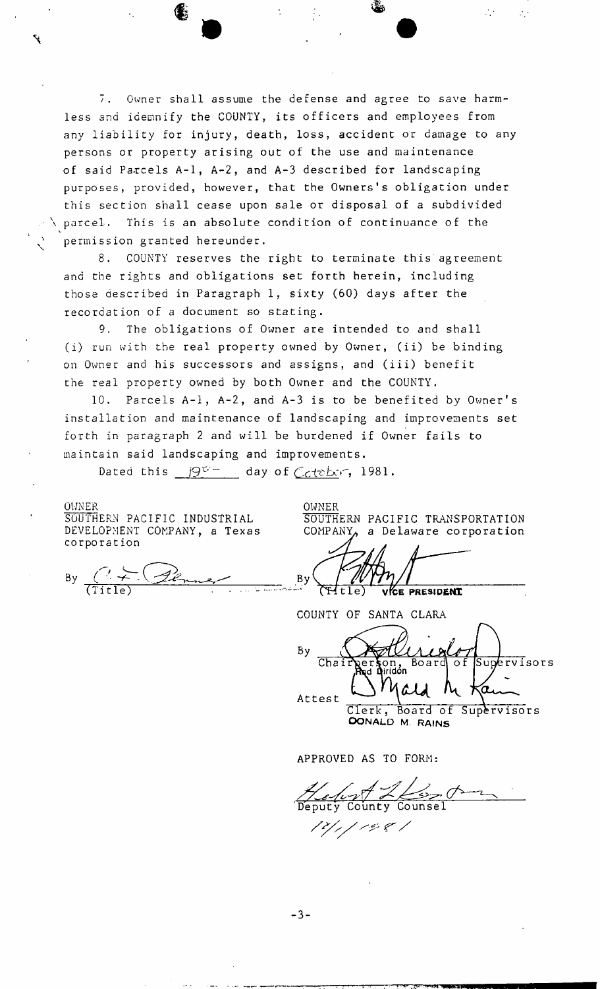7. Owner shall assume the defense and agree to save harmless and idemnify the COUNTY, its officers and employees from any liability for injury, death, loss, accident or damage to any persons or property arising out of the use and maintenance of said Parcels A-1, A-2, and A-3 described for landscaping purposes, provided, however, that the Owners's obligation under this section shall cease upon sale or disposal of a subdivided parcel. This is an absolute condition of continuance of the permission granted hereunder.

8. COUNTY reserves the right to terminate this agreement and the rights and obligations set forth herein, including those described in Paragraph 1, sixty (60) days after the recordation of a document so stating.

9. The obligations of Owner are intended to and shall (i) run with the real property owned by Owner, (ii) be binding on Owner and his successors and assigns, and (iii) benefit the real property owned by both Owner and the COUNTY.

10. Parcels A-l, A-2, and A-3 is to be benefited by Owner's installation and maintenance of landscaping and improvements set forth in paragraph 2 and will be burdened if Owner fails to maintain said landscaping and improvements.

Dated this  $\beta^{\sigma}$  day of Ccteber, 1981.

OWNER SOUTHERN PACIFIC INDUSTRIAL DEVELOPMENT COMPANY, a Texas corporation

By  $($  +  $\sqrt{2\epsilon_n}$ 

OWNER SOUTHERN PACIFIC TRANSPORTATION COMPANY $\rho$  a Delaware corporation

 $\mathcal{L}_{\mathcal{A}}$  .

 $\mathcal{L}_{\mathcal{A}}$ 

 $\frac{By}{T}$ (Fitle) VICE PRESIDENT

COUNTY OF SANTA CLARA

Bν Supervisors Chair Board o f :r§on,<br>d Diridón Attest

Clerk, Board of Supervisors **OONALD M. RAINS** 

APPROVED AS TO FORM:

County

[2] , ] (2) & ]

 $-3-$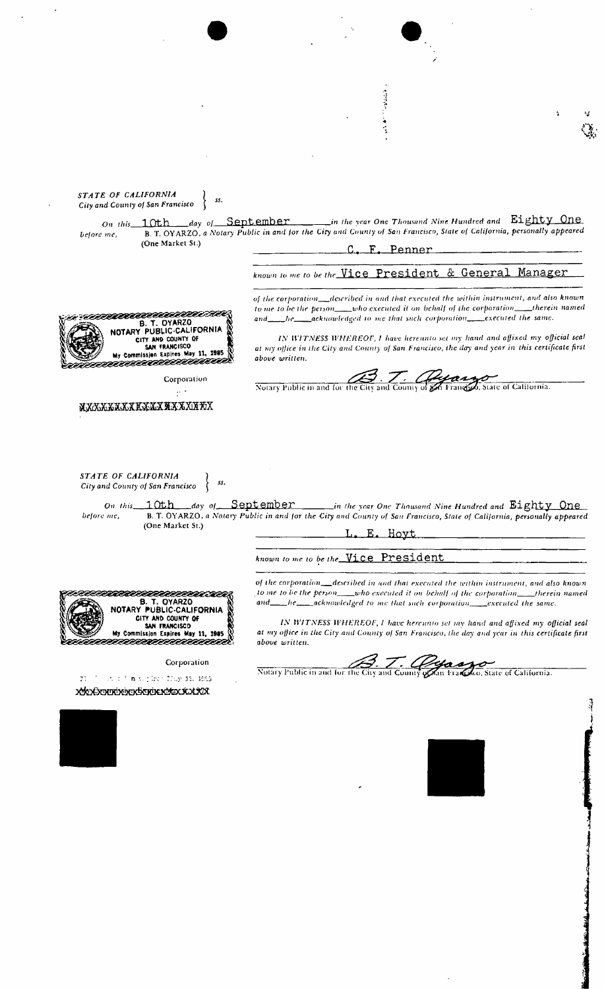医腹部的 医皮  $\mathbb{Q}_0$ *STATE OF CALIFORNIA*  **j** 55. *City and County of San Francisco jn the xcar One Thousand Nine Hundred and* **Eighty One**  *day of* September <u>10th</u> *On this f County of San Franciscc before me,* B. T. OYARZO, *a Notary Public in and for the City and County of San Francisco, State of California, personally appeared*  (One Market St.) C, F. Penner *known to me to be the.* Vice President & General Manager *of the corporation* described in and that executed the within instrument, and also known to me to be the person  $\Box$  who executed it on behalf of the corporation  $\Box$  therein named *to me to be the person* who executed it on behalf of the corporation *aanvoordeelle* and he acknowledged to me that such corporation executed the same. **B. T. OYARZO NOTARY PUBUC-CAUFORNIA**  *IN WITNESS WHEREOF, I have hereunto set my hand and affixed my official seal*  CITY AND COUNTY OF SAN FRANCISCO **My** Commission Expires **May 11, 1985**  *at my office in the City and County of San Francisco, the day and year in this certificate first above written.*  Notary Public in and for the City and County of get Francisco, State of California. Corporation  $\frac{1}{2}$  . **MXXXXXXXXXXXXXXXXXXX** *STATE OF CALIFORNIA ) City and County of San Francisco On this* 1 Oth *day of\_* September *in (he xcar One Thousand Nine Hundred and* Eighty **One**  *before me,* B. T. OYARZO, *a Notary Public in and for the City and County of San Francisco, State of California, personally appeared*  (One Market St.) L. E. Hoyt *known to me to be the\_* Vice President *of the corporation described in and that executed (he within instrument, and also known*  to me to be the person\_\_\_who executed it on behalf of the corporation\_\_\_therein named eeeeeeee nan and he acknowledged to me that such corporation executed the same. **B. T. OYARZO NOTARY PUBLIC-CALIFORNIA**  CITY AND COUNTY **OF**  *IN WITNESS WHEREOF, I have hereunto set my hand and affixed my official seal* SAN FRANCISCO<br>SAN FRANCISCO<br>My Commission Expires May 11, 1985 at my office in the City and County of San Francisco, the day and year in this certificate first **My** Commission Expires **May 11, 19«5** 5888888® *above written.*  Corporation Notary Public in and for the City and County of San Francisco, State of California. 71 \*. : A : F **n** (15 her Liny 11, 1965 ) . 

Ā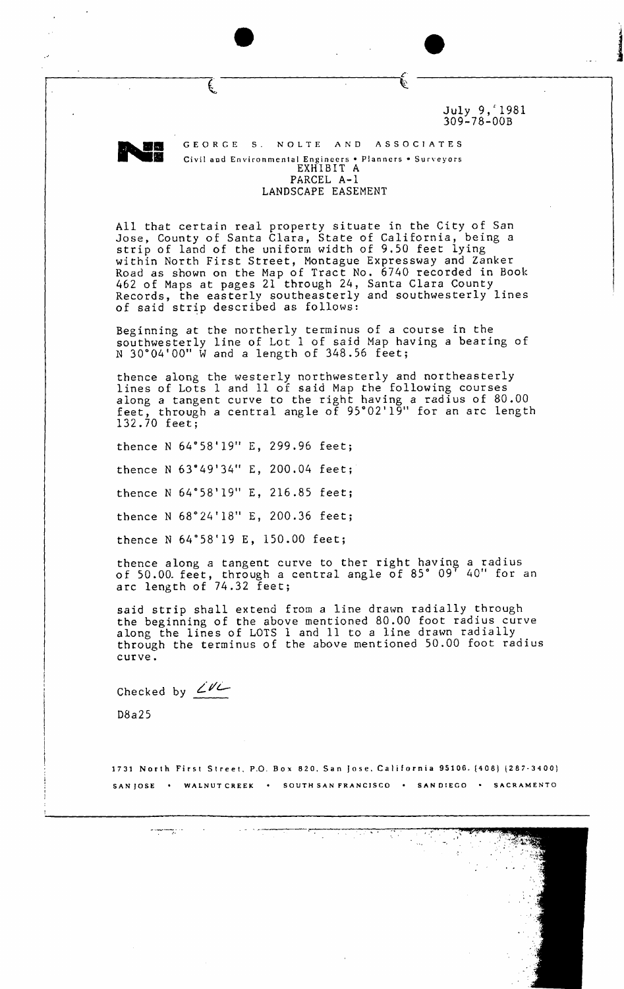July 9, 1981 309-78-00B

Ĺ,



€

GEORGE S. NOLTE AND ASSOCIATES Civil and Environmental Engineers • Planners • Surveyors EXHIBIT A PARCEL A-1 LANDSCAPE EASEMENT

All that certain real property situate in the City of San Jose, County of Santa Clara, State of California, being a strip of land of the uniform width of 9.50 feet lying within North First Street, Montague Expressway and Zanker Road as shown on the Map of Tract No. 6740 recorded in Book 462 of Maps at pages 21 through 24, Santa Clara County Records, the easterly southeasterly and southwesterly lines of said strip described as follows:

Beginning at the northerly terminus of a course in the southwesterly line of Lot 1 of said Map having a bearing of N 30°04'00" W and a length of 348.56 feet;

thence along the westerly northwesterly and northeasterly lines of Lots 1 and 11 of said Map the following courses along a tangent curve to the right having a radius of 80.00 along a cangent curve to the fight having a facius of 50.00<br>feet, through a central angle of 95°02'19" for an arc length 132.70 feet;

thence N 64° 58'19" E, 299 .96 feet;

thence N 63" 49'34" E, 200 .04 feet;

thence N 64° 58'19" E, 216 .85 feet;

thence N 68°24'18" E, 200.36 feet;

thence N 64°58'19 E, 150.00 feet;

thence along a tangent curve to ther right having a radius of 50.00. feet, through a central angle of 85° 09' 40 M for an arc length of 74.32 feet;

said strip shall extend from a line drawn radially through the beginning of the above mentioned 80.00 foot radius curve along the lines of LOTS 1 and 11 to a line drawn radially through the terminus of the above mentioned 50.00 foot radius curve.

Checked by  $Z^{\nu}$ 

D8a25

1731 North First Street, P.O. Box 820, San Jose, California 95106. (408) (287-3400) SAN JOSE • WALNUT CREEK • SOUTH SAN FRANCISCO • SAN DIEGO • SACRAMENTO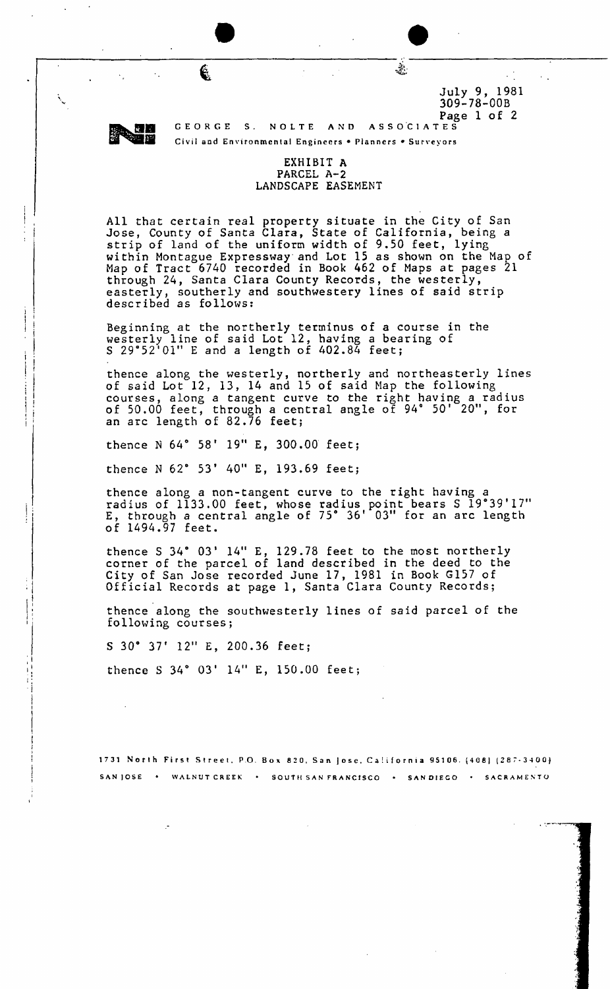

 $\mathcal{L}_1$ 

**4** 

Page 1 of 2 GEORGE S. NOLTE AND Civil and Environmental Engineers . Planners . Surveyors

309-78-00B

È.

 $\frac{July 9, 1981}{200730, 000}$ 

# EXHIBIT **A**  PARCEL A-2 LANDSCAPE EASEMENT

All that certain real property situate in the City of San Jose, County of Santa Clara, State of California, being a strip of land of the uniform width of 9,50 feet, lying within Montague Expressway and Lot 15 as shown on the Map of Map of Tract 6740 recorded in Book 462 of Maps at pages 21 through 24, Santa Clara County Records, the westerly, easterly, southerly and southwestery lines of said strip described as follows:

Beginning at the northerly terminus of a course in the westerly line of said Lot 12, having a bearing of S 29°52'01" E and a length of 402.84 feet;

thence along the westerly, northerly and northeasterly lines of said Lot 12, 13, 14 and 15 of said Map the following courses, along a tangent curve to the right having a radius of 50.00 feet, through a central angle of 94° 50' 20", for an arc length of 82.76 feet;

thence N 64° 58' 19" E, 300.00 feet;

thence N 62° 53' 40" E, 193.69 feet;

thence along a non-tangent curve to the right having a ence along a hon-cangent curve to the right having<br>radius of 1133.00 feet, whose radius point bears S 19°39'17" radius of fiss. Of feet, whose radius point bears 3 19 39 I.<br>E, through a central angle of 75° 36' 03" for an arc length of 1494.97 feet.

thence S 34° 03' 14" E, 129.78 feet to the most northerly corner of the parcel of land described in the deed to the City of San Jose recorded June 17, 1981 in Book G157 of Official Records at page 1, Santa Clara County Records;

thence along the southwesterly lines of said parcel of the following courses;

S 30\* 37 12" E, 200.36 feet;

thence S 34° 03' 14" E, 150.00 feet;

1731 North First Street, P.O. Box 820, San Jose, California 95106. (408) (287-3400} SANJOSE • WALNUT CREEK • SOUTH SAN FRANCISCO • SANDIEGO • SACRAMENTO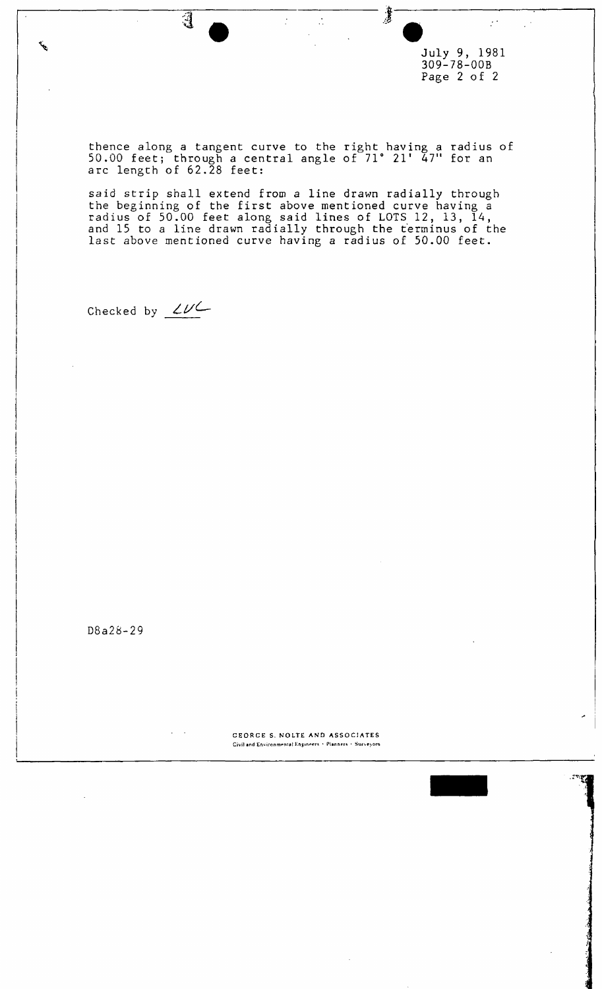July 9, 1981 309-78-00B Page 2 of 2

 $\mathcal{F}^{\mathcal{A}}$  .

 $\mathcal{L}^{(1)}$ 

ैं

thence along a tangent curve to the right having a radius of 50.00 feet; through a central angle of 71° 21 f 47" for an arc length of 62.28 feet:

 $\frac{1}{\sqrt{2}}$ 

 $\frac{1}{\sqrt{2}}$ 

said strip shall extend from a line drawn radially through the beginning of the first above mentioned curve having a radius of 50.00 feet along said lines of LOTS 12, 13, 14, and 15 to a line drawn radially through the terminus of the last above mentioned curve having a radius of 50.00 feet.

Checked by  $\angle \nu \angle$ 

 $\overline{\mathbf{d}}$ 

بمحمد

D8a28-29

CEORGE S. NOLTE AND ASSOCIATES Civil and Environmental Engineers • Planners • Surveyors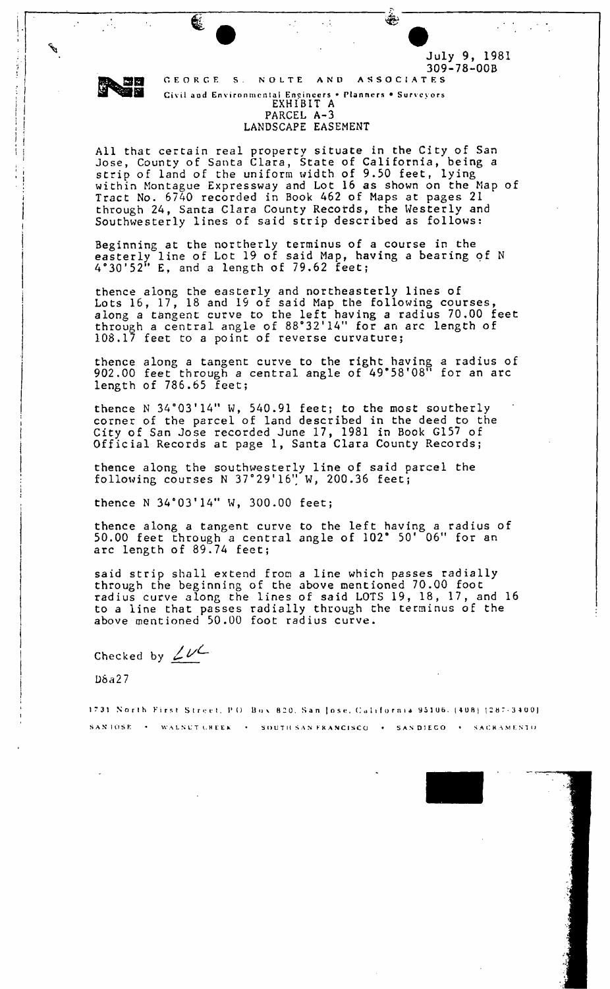ليحجج

€

309-78-00B<br>ASSOCIATES GEORG E S . NOLT E AN D ASSOCIATE S Civit 100 Entironmental propriety s • Planner s • Planner s • Survey s • Survey s • Survey s • Survey s • Survey s • Survey s • Survey s • Survey s • Survey s • Survey s • Survey s • Survey s • Survey s • Survey s • Survey PARCEL A-3 TARCLL A-J<br>NSCAPF FASE

 $\ddot{\phantom{0}}$ 

LANDSCAPE EASEMENT

July 9, 1981

بقفها

All that certain real property situate in the City of San Jose, County of Santa Clara, State of California, being a strip of land of the uniform width of 9.50 feet, lying within Montague Expressway and Lot 16 as shown on the Map of Tract No. 6740 recorded in Book 462 of Maps at pages 21 through 24, Santa Clara County Records, the Westerly and Southwesterly lines of said strip described as follows:

Beginning at the northerly terminus of a course in the easterly line of Lot 19 of said Map, having a bearing of N 4°30'52" E, and a length of 79.62 feet;

thence along the easterly and northeasterly lines of Lots 16, 17, 18 and 19 of said Map the following courses, along a tangent curve to the left having a radius 70.00 feet along a cangent curve to the fert having a radius 70:00 re<br>through a central angle of 88°32'14" for an arc length of 108.17 feet to a point of reverse curvature;

thence along a tangent curve to the right having a radius of thence along a cangent curve to the fight having a factos of length of 786.65 feet;

thence N 34°03'14" W, 540.91 feet; to the most southerly corner of the parcel of land described in the deed to the City of San Jose recorded June 17, 1981 in Book G157 of Official Records at page 1, Santa Clara County Records;

thence along the southwesterly line of said parcel the following courses N 37°29'16" W , 200.36 feet;

thence N  $34°03'14''$  W,  $300.00$  feet;

thence along a tangent curve to the left having a radius of 50.00 feet through a central angle of 102° 50' 06" for an arc length of 89.74 feet;

said strip shall extend from a line which passes radially through the beginning of the above mentioned 70.00 foot radius curve along the lines of said LOTS 19, 18, 17, and 16 to a line that passes radially through the terminus of the above mentioned 50.00 foot radius curve.

Checked by  $2\nu$ 

D6a27

1731 North First Street, P.O. Box 820, San Jose, California 95106. (408) (287-3400<mark>)</mark> S A X IOS E • WALNU T (.. H L E \* • SOUT H SA S FRANCISC O • SA N OIEC O « SACR A M K NT O

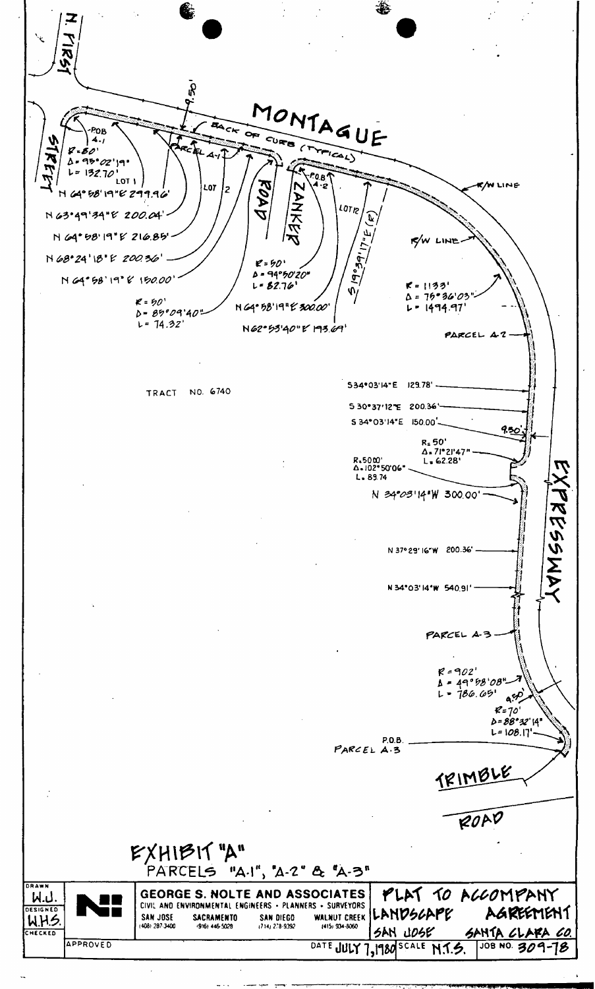

ال<br>المصدر المواقع المواقع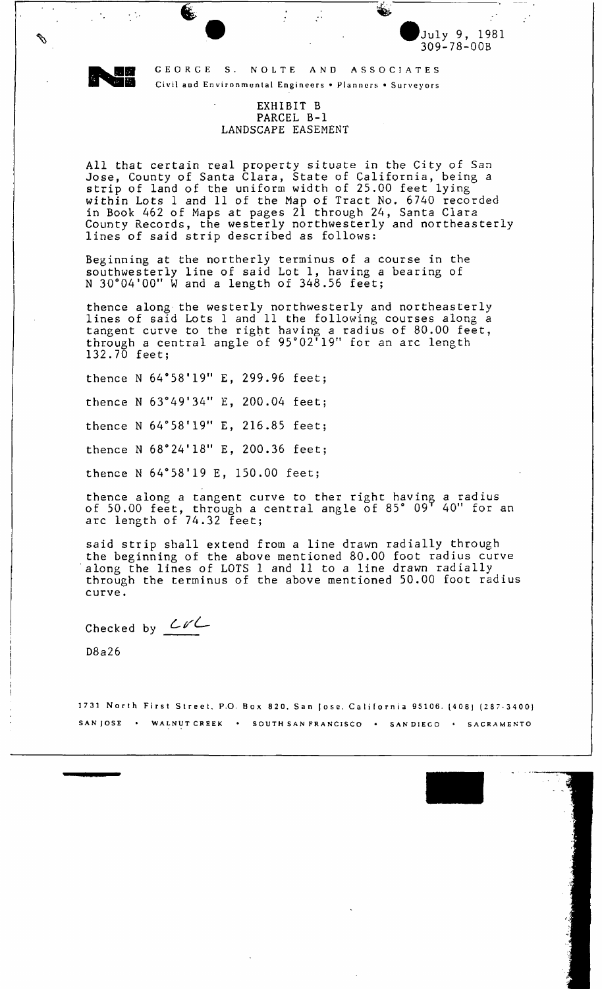

 $\mathbb{R}^{\mathcal{A}}$ 

 $\mathscr{P}$ 

 $\mathcal{L}^{(1)}$ 

GEORGE S. NOLTE AND ASSOCIATES Civil and Environmental Engineers • Planners • Surveyors

 $\frac{1}{2}$ 

July 9, 1981 309-78-00B

 $\mathcal{L}^{\mathcal{I}}$ 

É.

## EXHIBIT B PARCEL B-1 LANDSCAPE EASEMENT

All that certain real property situate in the City of San Jose, County of Santa Clara, State of California, being a strip of land of the uniform width of 25.00 feet lying within Lots 1 and 11 of the Map of Tract No. 6740 recorded in Book 462 of Maps at pages 21 through 24, Santa Clara County Records, the westerly northwesterly and northeasterly lines of said strip described as follows:

Beginning at the northerly terminus of a course in the southwesterly line of said Lot 1, having a bearing of N 30°04 1 00" W and a length of 348.56 feet;

thence along the westerly northwesterly and northeasterly lines of said Lots 1 and 11 the following courses along a tangent curve to the right having a radius of 80.00 feet, cangent curve to the fight having a radius of 60.00 fee<br>through a central angle of 95°02'19" for an arc length 132.70 feet;

thence N 64°58'19" E, 299.96 feet;

thence N  $63^{\circ}49'34''$  E, 200.04 feet;

thence N 64°58'19" E, 216.85 feet;

thence N 68°24'18" E, 200.36 feet;

thence N 64°58'19 E, 150.00 feet;

thence along a tangent curve to ther right having a radius chence along a cangent culve to their light having a fadius<br>of 50.00 feet, through a central angle of 85° 09' 40" for an arc length of 74.32 feet;

said strip shall extend from a line drawn radially through the beginning of the above mentioned 80.00 foot radius curve along the lines of LOTS 1 and 11 to a line drawn radially through the terminus of the above mentioned 50.00 foot radius curve.

Checked by  $\angle \nu\angle$ 

D8a26

1731 North First Street, P.O. Box 820, San Jose, California 95106. (408) (287-3400) SAN JOSE • WALNUT CREEK • SOUTH SAN FRANCISCO • SAN DIECO • SACRAMENTO

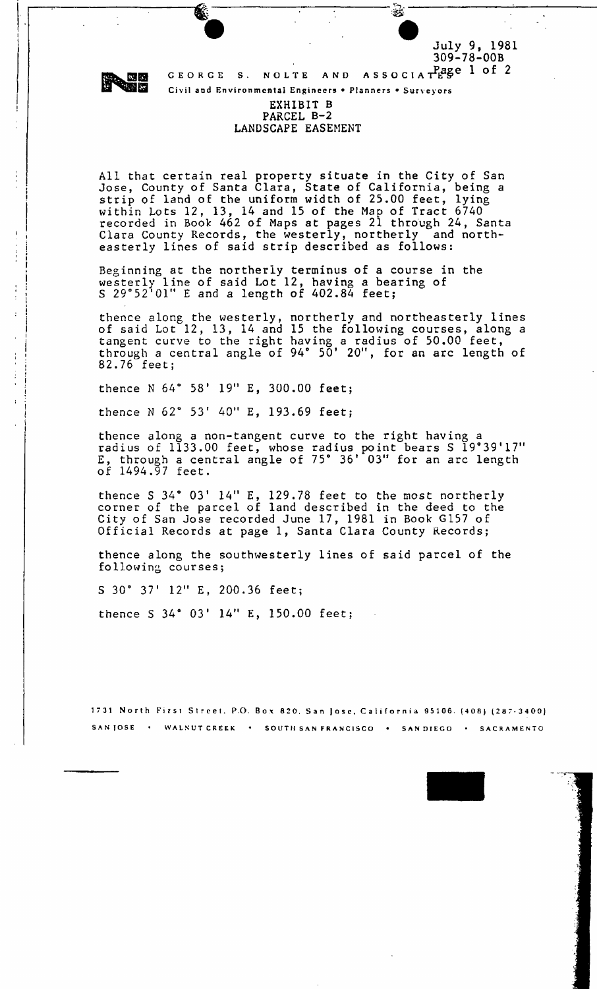July 9, 1981 309-78-00B

افخان:



Civil and Environmental Engineers • Planners • Surveyors

## EXHIBIT B PARCEL B-2 LANDSCAPE EASEMENT

All that certain real property situate in the City of San Jose, County of Santa Clara, State of California, being a strip of land of the uniform width of 25.00 feet, lying within Lots 12, 13, 14 and 15 of the Map of Tract 6740 recorded in Book 462 of Maps at pages 21 through 24, Santa Clara County Records, the westerly, northerly and northeasterly lines of said strip described as follows:

Beginning at the northerly terminus of a course in the westerly line of said Lot 12, having a bearing of S 29°52'01" E and a length of 402.84 feet;

thence along the westerly, northerly and northeasterly lines of said Lot 12, 13, 14 and 15 the following courses, along a tangent curve to the right having a radius of 50.00 feet, through a central angle of 94° 50' 20", for an arc length of 82.76 feet;

thence N 64° 58' 19" E, 300.00 feet;

thence N 62° 53' 40" E, 193.69 feet;

thence along a non-tangent curve to the right having a ence along a non-tangent curve to the right having a<br>radius of 1133.00 feet, whose radius point bears S 19°39'17" E, through a central angle of 75° 36 f 03" for an arc length of 1494.97 feet.

thence S 34° 03' 14" E, 129.78 feet to the most northerly corner of the parcel of land described in the deed to the City of San Jose recorded June 17, 1981 in Book G157 of Official Records at page 1, Santa Clara County Records;

thence along the southwesterly lines of said parcel of the following courses;

S 30° 37' 12" E, 200.36 feet;

thence S 34° 03' 14" E, 150.00 feet;

1731 North First Street, P.O. Box 820, San Jose, California 95106. (408) (287-3400) S A N JOS E WALNU T CREE K • SOUT1 I SA N FRANCISC O • SA N DIEG O SACRAMENT O

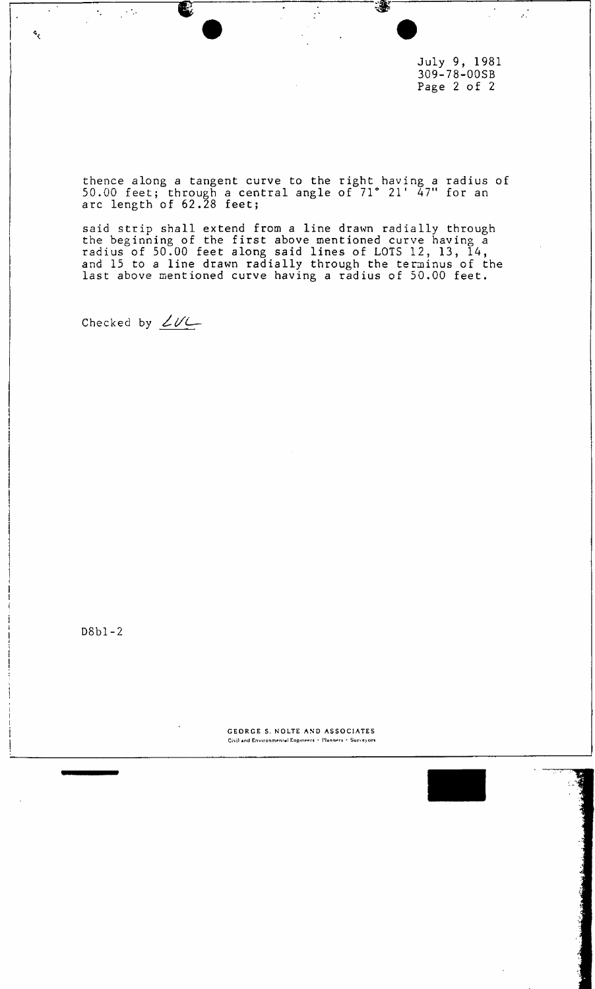July 9, 1981 309-78-00SB Page 2 of 2

 $\frac{1}{2}$ 

₩

thence along a tangent curve to the right having a radius of 50.00 feet; through a central angle of 71° 21' 47" for an arc length of 62.28 feet;

 $\frac{1}{\sqrt{2}}$ 

said strip shall extend from a line drawn radially through the beginning of the first above mentioned curve having a radius of 50.00 feet along said lines of LOTS 12, 13, 14, and 15 to a line drawn radially through the terminus of the last above mentioned curve having a radius of 50.00 feet.

Checked by  $2U$ 

 $\mathcal{L}_{\text{max}}$ 

 $\mathcal{F}_{\mathcal{A}}$ 

 $\mathcal{L}$ 

D8bl-2

GEORGE S. NOLTE AND ASSOCIATES Civil and Environmental Engineers · Planners · Surveyors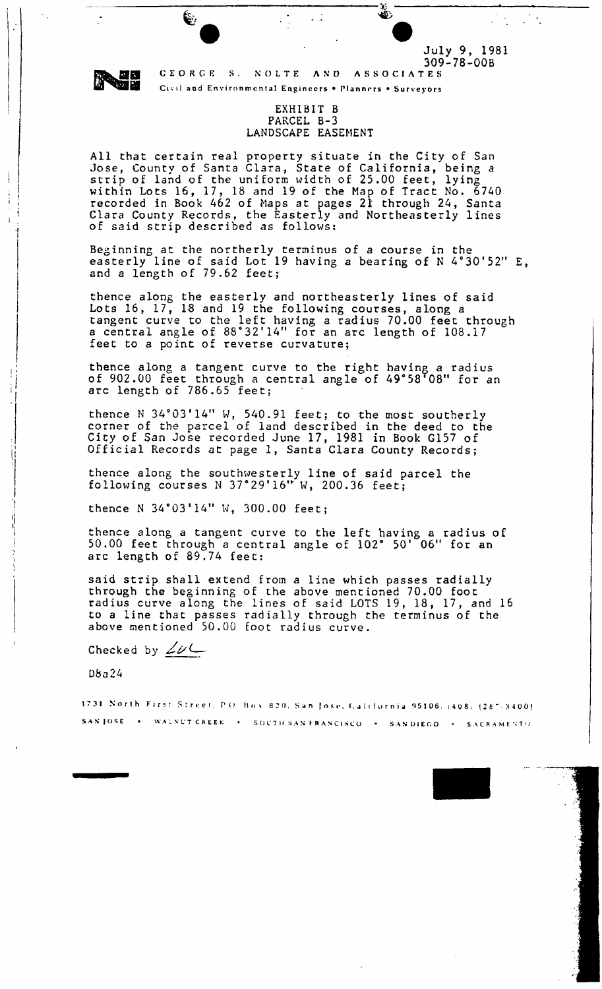E.

CEORC E S . NOLT E AN D ASSOCIATE S Civil and Environmental Engineers . Planners . Surveyors

### EXHIBIT B PARCEL B-3 LANDSCAPE EASEMENT

 $\sim$   $\frac{1}{2}$ 

*•S;. -*

July 9, 1981 309-78-00B

 $\mathcal{L}^{\text{max}}$ 

All that certain real property situate in the City of San Jose, County of Santa Clara, State of California, being a strip of land of the uniform width of 25.00 feet, lying within Lots 16, 17, 18 and 19 of the Map of Tract No. 6740 recorded in Book 462 of Maps at pages 21 through 24, Santa Clara County Records, the Easterly and Northeasterly lines of said strip described as follows:

Beginning at the northerly terminus of a course in the easterly line of said Lot 19 having a bearing of N 4°30 , 52" E, and a length of 79.62 feet;

thence along the easterly and northeasterly lines of said Lots 16, 17, 13 and 19 the following courses, along a tangent curve to the left having a radius 70.00 feet through cangent curve to the fert having a radius 70.00 feet throw<br>a central angle of 88°32'14" for an arc length of 108.17 feet to a point of reverse curvature;

thence along a tangent curve to the right having a radius chence along a cangent curve to the right having a radius<br>of 902.00 feet through a central angle of 49°58'08" for an arc length of 786.65 feet;

thence N  $34°03'14''$  W,  $540.91$  feet; to the most southerly corner of the parcel of land described in the deed to the City of San Jose recorded June 17, 1981 in Book G157 of Official Records at page 1, Santa Clara County Records;

thence along the southwesterly line of said parcel the following courses N 37°29'16 M 'W, 200.36 feet;

thence N 34°03'14" W, 300.00 feet;

thence along a tangent curve to the left having a radius of 50.00 feet through a central angle of 102° 50' 06" for an arc length of 89.74 feet:

said strip shall extend from a line which passes radially through the beginning of the above mentioned 70.00 foot radius curve along the lines of said LOTS 19, 18, 17, and 16 to a line that passes radially through the terminus of the above mentioned 50.00 foot radius curve.

Checked by  $\angle \nu$ 

D8a24

1731 North First Street, P.O. Box 820, San Jose, California 95106. (408) (287-3400) SAN JOSE • WALNUT CREEK • SOUTH SAN FRANCISCO • SAN DIEGO • SACRAMENTO

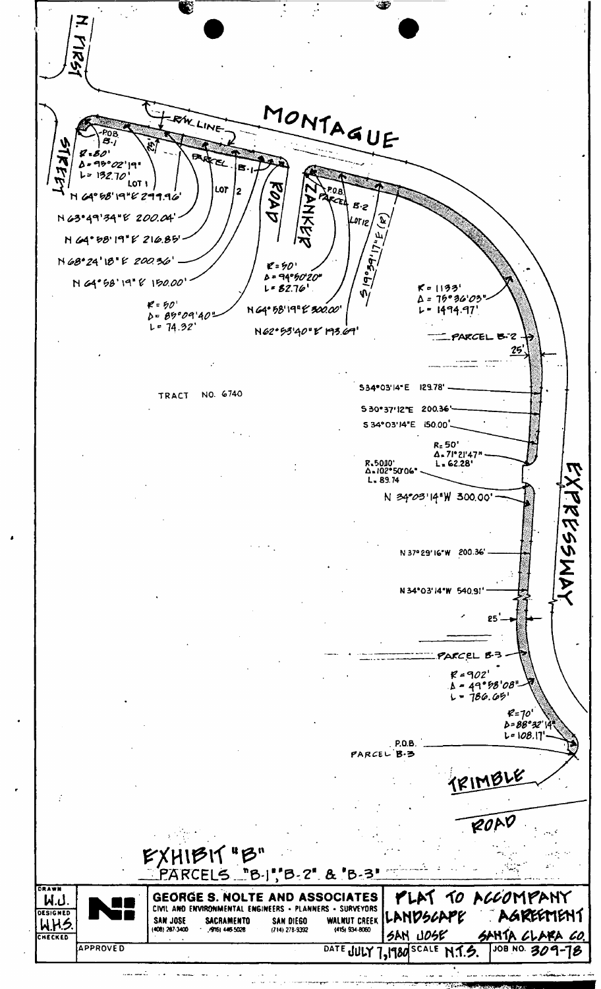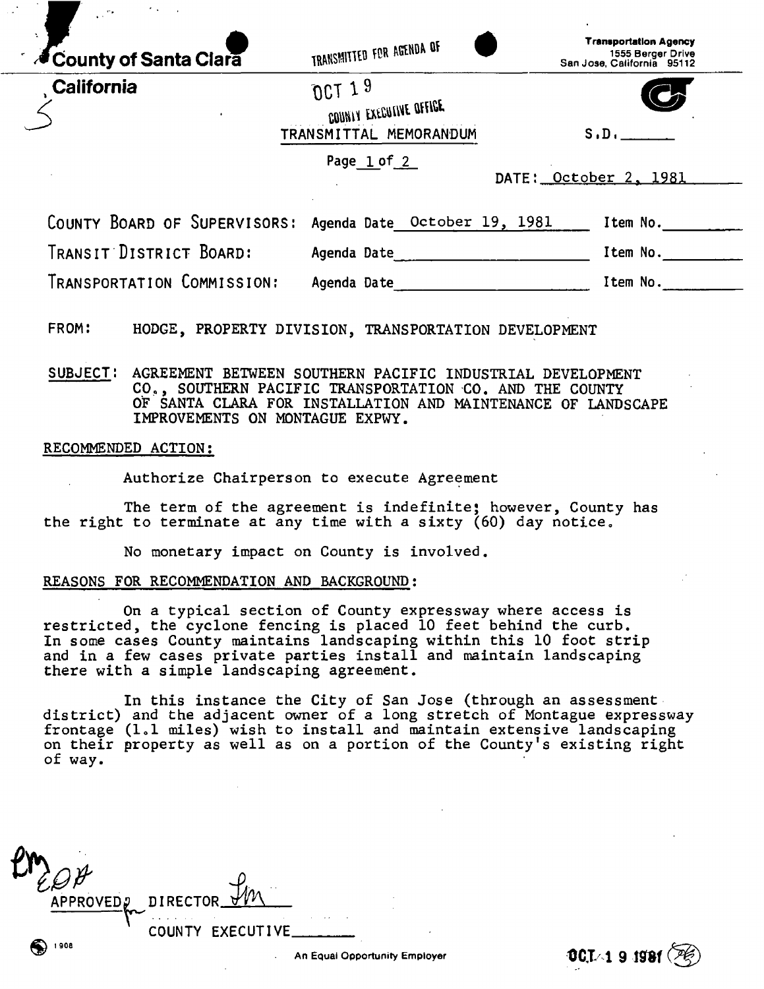| County of Santa Clara        | TRANSMITTED FOR AGENDA OF                                        | <b>Transportation Agency</b><br>1555 Berger Drive<br>San Jose, California 95112 |
|------------------------------|------------------------------------------------------------------|---------------------------------------------------------------------------------|
| <b>California</b>            | $0CT$ 1 $9$<br>COUNTY EXECUTIVE OFFICE<br>TRANSMITTAL MEMORANDUM | S.D.                                                                            |
|                              | Page $1 of 2$                                                    | DATE: October 2, 1981                                                           |
| COUNTY BOARD OF SUPERVISORS: | Agenda Date October 19, 1981                                     | Item No.                                                                        |
| TRANSIT DISTRICT BOARD:      | Agenda Date                                                      | Item No.                                                                        |
|                              |                                                                  | Item No.                                                                        |

**FROM: HODGE, PROPERTY DIVISION, TRANSPORTATION DEVELOPMENT** 

**SUBJECT! AGREEMENT BETWEEN SOUTHERN PACIFIC INDUSTRIAL DEVELOPMENT COt t , SOUTHERN PACIFIC TRANSPORTATION CO. AND THE COUNTY OF SANTA CLARA FOR INSTALLATION AND MAINTENANCE OF LANDSCAPE IMPROVEMENTS ON MONTAGUE EXPWY.** 

## **RECOMMENDED ACTION:**

**Authorize Chairperson to execute Agreement** 

**The term of the agreement is indefinite; however, County has the right to terminate at any time with a sixty (60) day notice.** 

**No monetary impact on County is involved.** 

#### **REASONS FOR RECOMMENDATION AND BACKGROUND:**

**On a typical section of County expressway where access is restricted, the cyclone fencing is placed 10 feet behind the curb. In some cases County maintains landscaping within this 10 foot strip and in a few cases private parties install and maintain landscaping there with a simple landscaping agreement.** 

**In this instance the City of San Jose (through an assessment district) and the adjacent owner of a long stretch of Montague expressway frontage (I d miles) wish to install and maintain extensive landscaping on their property as well as on a portion of the County's existing right of way.** 

APPROVED<sub>2</sub> DIRECTOR  $\sim$ COUNTY EXECUTIVE. 908 ( An Equal Opportunity Employer **1994 1994**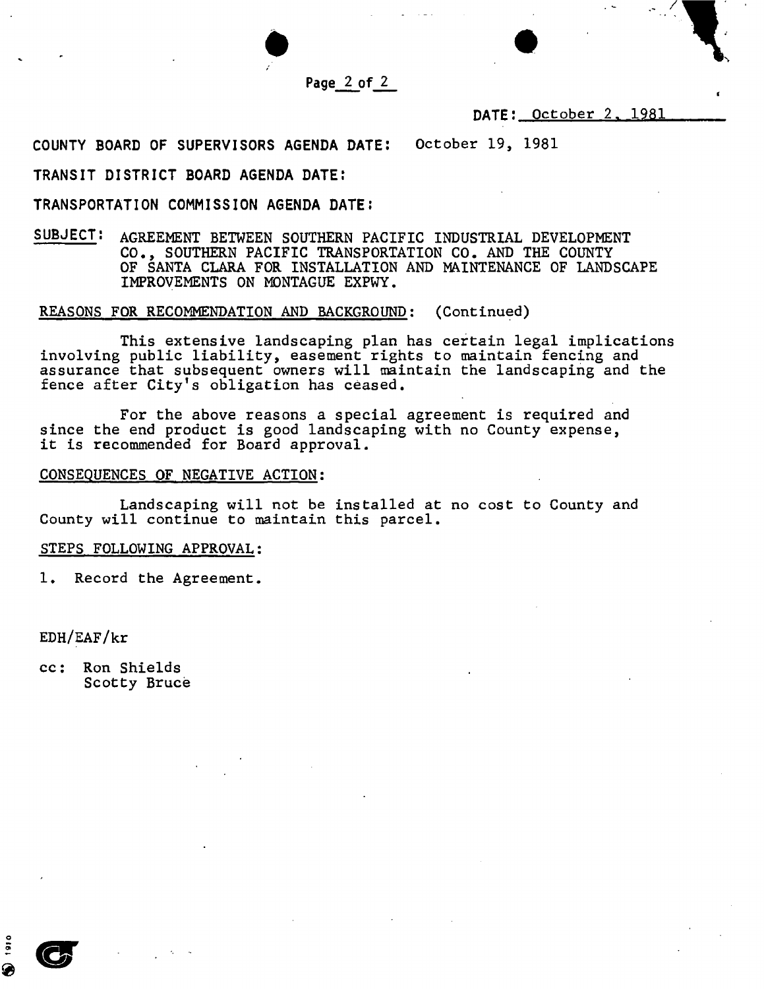

# **DATE: October 2. 1981**

/

**COUNTY BOARD OF SUPERVISORS AGENDA DATE: October 19, 1981** 

### **TRANSIT DISTRICT BOARD AGENDA DATE:**

### **TRANSPORTATION COMMISSION AGENDA DATE;**

**SUBJECT: AGREEMENT BETWEEN SOUTHERN PACIFIC INDUSTRIAL DEVELOPMENT CO., SOUTHERN PACIFIC TRANSPORTATION CO. AND THE COUNTY OF SANTA CLARA FOR INSTALLATION AND MAINTENANCE OF LANDSCAPE IMPROVEMENTS ON MONTAGUE EXPWY.** 

### **REASONS FOR RECOMMENDATION AND BACKGROUND: (Continued)**

**This extensive landscaping plan has certain legal implications involving public liability, easement rights to maintain fencing and assurance that subsequent owners will maintain the landscaping and the fence after City's obligation has ceased.** 

**For the above reasons a special agreement is required and since the end product is good landscaping with no County expense, it is recommended for Board approval.** 

#### **CONSEQUENCES OF NEGATIVE ACTION:**

**Landscaping will not be installed at no cost to County and County will continue to maintain this parcel.** 

# **STEPS FOLLOWING APPROVAL:**

**1. Record the Agreement.** 

**EDH/EAF/kr** 

**cc: Ron Shields Scotty Bruce**